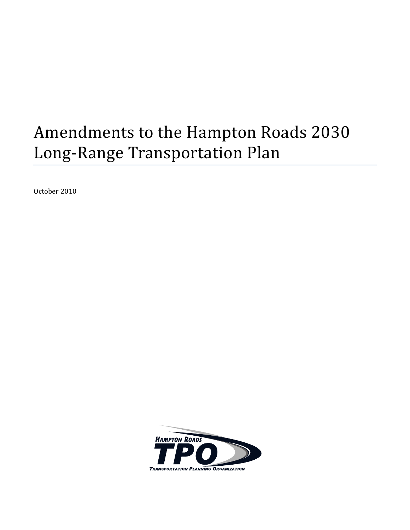# Amendments to the Hampton Roads 2030 Long-Range Transportation Plan

October 2010

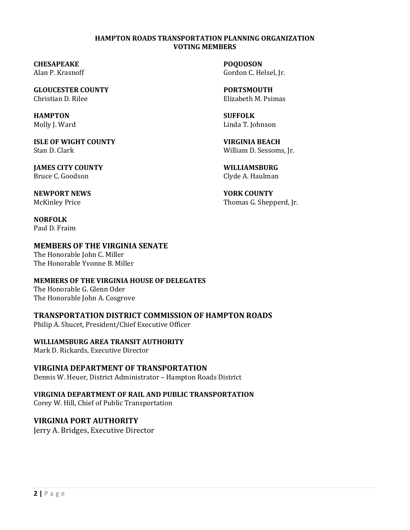#### **HAMPTON ROADS TRANSPORTATION PLANNING ORGANIZATION VOTING MEMBERS**

**CHESAPEAKE POQUOSON**

**GLOUCESTER COUNTY PORTSMOUTH** Christian D. Rilee Elizabeth M. Psimas

**HAMPTON SUFFOLK**

**ISLE OF WIGHT COUNTY VIRGINIA BEACH** Stan D. Clark William D. Sessoms, Jr.

**JAMES CITY COUNTY WILLIAMSBURG** Bruce C. Goodson Clyde A. Haulman

**NEWPORT NEWS YORK COUNTY**

**NORFOLK** Paul D. Fraim

### **MEMBERS OF THE VIRGINIA SENATE**

The Honorable John C. Miller The Honorable Yvonne B. Miller

#### **MEMBERS OF THE VIRGINIA HOUSE OF DELEGATES**

The Honorable G. Glenn Oder The Honorable John A. Cosgrove

#### **TRANSPORTATION DISTRICT COMMISSION OF HAMPTON ROADS**

Philip A. Shucet, President/Chief Executive Officer

#### **WILLIAMSBURG AREA TRANSIT AUTHORITY**

Mark D. Rickards, Executive Director

#### **VIRGINIA DEPARTMENT OF TRANSPORTATION**

Dennis W. Heuer, District Administrator – Hampton Roads District

#### **VIRGINIA DEPARTMENT OF RAIL AND PUBLIC TRANSPORTATION**

Corey W. Hill, Chief of Public Transportation

# **VIRGINIA PORT AUTHORITY**

Jerry A. Bridges, Executive Director

Alan P. Krasnoff Gordon C. Helsel, Jr.

Molly J. Ward **Linda T. Johnson** 

McKinley Price Thomas G. Shepperd, Jr.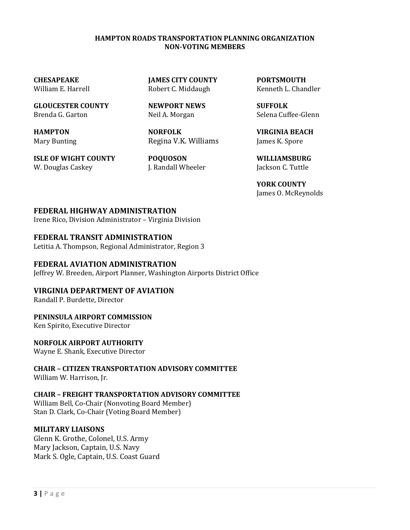#### **HAMPTON ROADS TRANSPORTATION PLANNING ORGANIZATION NON-VOTING MEMBERS**

**GLOUCESTER COUNTY NEWPORT NEWS SUFFOLK** Brenda G. Garton Neil A. Morgan Selena Cuffee-Glenn

**ISLE OF WIGHT COUNTY POQUOSON WILLIAMSBURG** W. Douglas Caskey T. Randall Wheeler Jackson C. Tuttle

**CHESAPEAKE JAMES CITY COUNTY PORTSMOUTH**

**HAMPTON NORFOLK VIRGINIA BEACH** Mary Bunting **Regina V.K. Williams** James K. Spore

William E. Harrell **Robert C. Middaugh** Kenneth L. Chandler

 **YORK COUNTY** James O. McReynolds

#### **FEDERAL HIGHWAY ADMINISTRATION**

Irene Rico, Division Administrator – Virginia Division

#### **FEDERAL TRANSIT ADMINISTRATION**

Letitia A. Thompson, Regional Administrator, Region 3

#### **FEDERAL AVIATION ADMINISTRATION**

Jeffrey W. Breeden, Airport Planner, Washington Airports District Office

#### **VIRGINIA DEPARTMENT OF AVIATION**

Randall P. Burdette, Director

#### **PENINSULA AIRPORT COMMISSION**

Ken Spirito, Executive Director

#### **NORFOLK AIRPORT AUTHORITY**

Wayne E. Shank, Executive Director

**CHAIR – CITIZEN TRANSPORTATION ADVISORY COMMITTEE**  William W. Harrison, Jr.

#### **CHAIR – FREIGHT TRANSPORTATION ADVISORY COMMITTEE**

William Bell, Co-Chair (Nonvoting Board Member) Stan D. Clark, Co-Chair (Voting Board Member)

#### **MILITARY LIAISONS**

Glenn K. Grothe, Colonel, U.S. Army Mary Jackson, Captain, U.S. Navy Mark S. Ogle, Captain, U.S. Coast Guard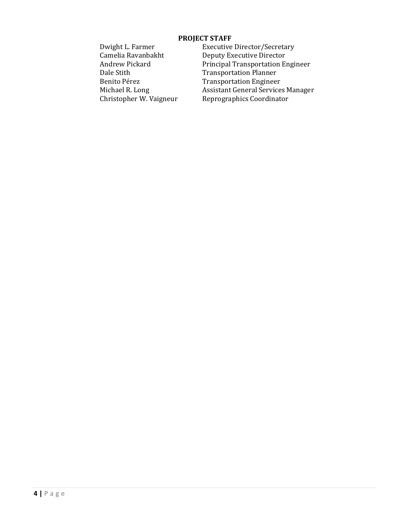#### **PROJECT STAFF**

Dwight L. Farmer<br>
Camelia Ravanbakht<br>
Deputy Executive Director Deputy Executive Director Andrew Pickard Principal Transportation Engineer Dale Stith Transportation Planner<br>Benito Pérez Transportation Engineer Transportation Engineer Michael R. Long **Assistant General Services Manager**<br>
Christopher W. Vaigneur Reprographics Coordinator Reprographics Coordinator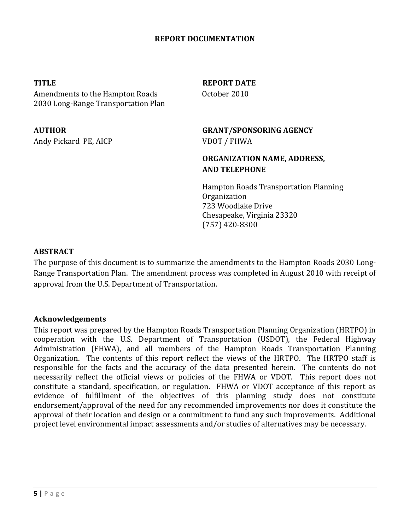#### **REPORT DOCUMENTATION**

Amendments to the Hampton Roads 0ctober 2010 2030 Long-Range Transportation Plan

Andy Pickard PE, AICP VDOT / FHWA

**TITLE** REPORT DATE

# **AUTHOR GRANT/SPONSORING AGENCY**

## **ORGANIZATION NAME, ADDRESS, AND TELEPHONE**

Hampton Roads Transportation Planning Organization 723 Woodlake Drive Chesapeake, Virginia 23320 (757) 420-8300

#### **ABSTRACT**

The purpose of this document is to summarize the amendments to the Hampton Roads 2030 Long-Range Transportation Plan. The amendment process was completed in August 2010 with receipt of approval from the U.S. Department of Transportation.

#### **Acknowledgements**

This report was prepared by the Hampton Roads Transportation Planning Organization (HRTPO) in cooperation with the U.S. Department of Transportation (USDOT), the Federal Highway Administration (FHWA), and all members of the Hampton Roads Transportation Planning Organization. The contents of this report reflect the views of the HRTPO. The HRTPO staff is responsible for the facts and the accuracy of the data presented herein. The contents do not necessarily reflect the official views or policies of the FHWA or VDOT. This report does not constitute a standard, specification, or regulation. FHWA or VDOT acceptance of this report as evidence of fulfillment of the objectives of this planning study does not constitute endorsement/approval of the need for any recommended improvements nor does it constitute the approval of their location and design or a commitment to fund any such improvements. Additional project level environmental impact assessments and/or studies of alternatives may be necessary.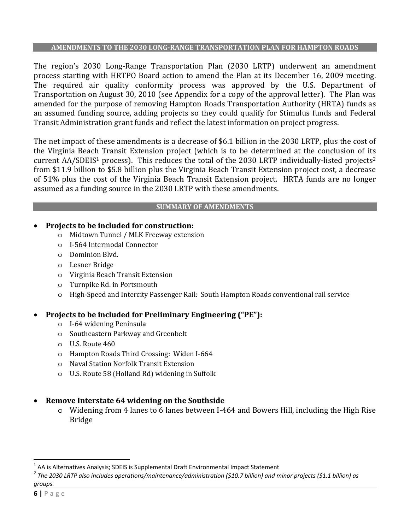#### **AMENDMENTS TO THE 2030 LONG-RANGE TRANSPORTATION PLAN FOR HAMPTON ROADS**

The region's 2030 Long-Range Transportation Plan (2030 LRTP) underwent an amendment process starting with HRTPO Board action to amend the Plan at its December 16, 2009 meeting. The required air quality conformity process was approved by the U.S. Department of Transportation on August 30, 2010 (see Appendix for a copy of the approval letter). The Plan was amended for the purpose of removing Hampton Roads Transportation Authority (HRTA) funds as an assumed funding source, adding projects so they could qualify for Stimulus funds and Federal Transit Administration grant funds and reflect the latest information on project progress.

The net impact of these amendments is a decrease of \$6.1 billion in the 2030 LRTP, plus the cost of the Virginia Beach Transit Extension project (which is to be determined at the conclusion of its current AA/SDEIS<sup>1</sup> process). This reduces the total of the 2030 LRTP individually-listed projects<sup>2</sup> from \$11.9 billion to \$5.8 billion plus the Virginia Beach Transit Extension project cost, a decrease of 51% plus the cost of the Virginia Beach Transit Extension project. HRTA funds are no longer assumed as a funding source in the 2030 LRTP with these amendments.

#### **SUMMARY OF AMENDMENTS**

### • **Projects to be included for construction:**

- o Midtown Tunnel / MLK Freeway extension
- o I-564 Intermodal Connector
- o Dominion Blvd.
- o Lesner Bridge
- o Virginia Beach Transit Extension
- o Turnpike Rd. in Portsmouth
- o High-Speed and Intercity Passenger Rail: South Hampton Roads conventional rail service

# • **Projects to be included for Preliminary Engineering ("PE"):**

- o I-64 widening Peninsula
- o Southeastern Parkway and Greenbelt
- o U.S. Route 460
- o Hampton Roads Third Crossing: Widen I-664
- o Naval Station Norfolk Transit Extension
- o U.S. Route 58 (Holland Rd) widening in Suffolk

# • **Remove Interstate 64 widening on the Southside**

o Widening from 4 lanes to 6 lanes between I-464 and Bowers Hill, including the High Rise Bridge

 $\overline{a}$ 

<sup>&</sup>lt;sup>1</sup> AA is Alternatives Analysis; SDEIS is Supplemental Draft Environmental Impact Statement<br><sup>2</sup> The 2020 LPTP also includes aposations (maintenance (administration (610.7 billion) and m

*The 2030 LRTP also includes operations/maintenance/administration (\$10.7 billion) and minor projects (\$1.1 billion) as groups.*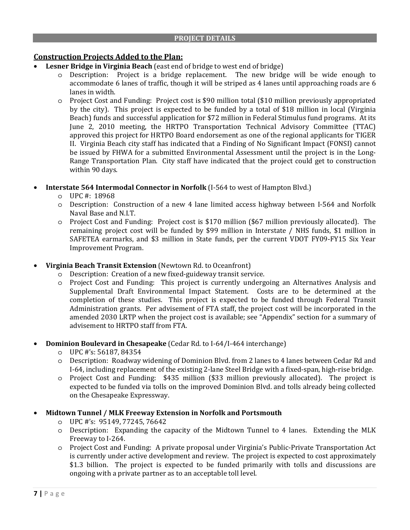### **Construction Projects Added to the Plan:**

- **Lesner Bridge in Virginia Beach** (east end of bridge to west end of bridge)
	- o Description: Project is a bridge replacement. The new bridge will be wide enough to accommodate 6 lanes of traffic, though it will be striped as 4 lanes until approaching roads are 6 lanes in width.
	- o Project Cost and Funding: Project cost is \$90 million total (\$10 million previously appropriated by the city). This project is expected to be funded by a total of \$18 million in local (Virginia Beach) funds and successful application for \$72 million in Federal Stimulus fund programs. At its June 2, 2010 meeting, the HRTPO Transportation Technical Advisory Committee (TTAC) approved this project for HRTPO Board endorsement as one of the regional applicants for TIGER II. Virginia Beach city staff has indicated that a Finding of No Significant Impact (FONSI) cannot be issued by FHWA for a submitted Environmental Assessment until the project is in the Long-Range Transportation Plan. City staff have indicated that the project could get to construction within 90 days.
- **Interstate 564 Intermodal Connector in Norfolk** (I-564 to west of Hampton Blvd.)
	- o UPC #: 18968
	- o Description: Construction of a new 4 lane limited access highway between I-564 and Norfolk Naval Base and N.I.T.
	- o Project Cost and Funding: Project cost is \$170 million (\$67 million previously allocated). The remaining project cost will be funded by \$99 million in Interstate / NHS funds, \$1 million in SAFETEA earmarks, and \$3 million in State funds, per the current VDOT FY09-FY15 Six Year Improvement Program.
- **Virginia Beach Transit Extension** (Newtown Rd. to Oceanfront)
	- o Description: Creation of a new fixed-guideway transit service.
	- o Project Cost and Funding: This project is currently undergoing an Alternatives Analysis and Supplemental Draft Environmental Impact Statement. Costs are to be determined at the completion of these studies. This project is expected to be funded through Federal Transit Administration grants. Per advisement of FTA staff, the project cost will be incorporated in the amended 2030 LRTP when the project cost is available; see "Appendix" section for a summary of advisement to HRTPO staff from FTA.
- **Dominion Boulevard in Chesapeake** (Cedar Rd. to I-64/I-464 interchange)
	- o UPC #'s: 56187, 84354
	- o Description: Roadway widening of Dominion Blvd. from 2 lanes to 4 lanes between Cedar Rd and I-64, including replacement of the existing 2-lane Steel Bridge with a fixed-span, high-rise bridge.
	- o Project Cost and Funding: \$435 million (\$33 million previously allocated). The project is expected to be funded via tolls on the improved Dominion Blvd. and tolls already being collected on the Chesapeake Expressway.

#### • **Midtown Tunnel / MLK Freeway Extension in Norfolk and Portsmouth**

- o UPC #'s: 95149, 77245, 76642
- o Description: Expanding the capacity of the Midtown Tunnel to 4 lanes. Extending the MLK Freeway to I-264.
- o Project Cost and Funding: A private proposal under Virginia's Public-Private Transportation Act is currently under active development and review. The project is expected to cost approximately \$1.3 billion. The project is expected to be funded primarily with tolls and discussions are ongoing with a private partner as to an acceptable toll level.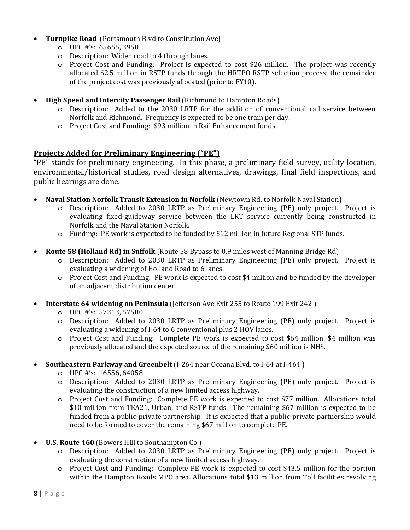- **Turnpike Road** (Portsmouth Blvd to Constitution Ave)
	- o UPC #'s: 65655, 3950
	- o Description: Widen road to 4 through lanes.
	- o Project Cost and Funding: Project is expected to cost \$26 million. The project was recently allocated \$2.5 million in RSTP funds through the HRTPO RSTP selection process; the remainder of the project cost was previously allocated (prior to FY10).
- **High Speed and Intercity Passenger Rail** (Richmond to Hampton Roads)
	- o Description: Added to the 2030 LRTP for the addition of conventional rail service between Norfolk and Richmond. Frequency is expected to be one train per day.
	- o Project Cost and Funding: \$93 million in Rail Enhancement funds.

#### **Projects Added for Preliminary Engineering ("PE")**

"PE" stands for preliminary engineering. In this phase, a preliminary field survey, utility location, environmental/historical studies, road design alternatives, drawings, final field inspections, and public hearings are done.

- **Naval Station Norfolk Transit Extension in Norfolk** (Newtown Rd. to Norfolk Naval Station)
	- o Description: Added to 2030 LRTP as Preliminary Engineering (PE) only project. Project is evaluating fixed-guideway service between the LRT service currently being constructed in Norfolk and the Naval Station Norfolk.
	- o Funding: PE work is expected to be funded by \$12 million in future Regional STP funds.
- **Route 58 (Holland Rd) in Suffolk** (Route 58 Bypass to 0.9 miles west of Manning Bridge Rd)
	- o Description: Added to 2030 LRTP as Preliminary Engineering (PE) only project. Project is evaluating a widening of Holland Road to 6 lanes.
	- o Project Cost and Funding: PE work is expected to cost \$4 million and be funded by the developer of an adjacent distribution center.
- **Interstate 64 widening on Peninsula** (Jefferson Ave Exit 255 to Route 199 Exit 242 )
	- o UPC #'s: 57313, 57580
	- o Description: Added to 2030 LRTP as Preliminary Engineering (PE) only project. Project is evaluating a widening of I-64 to 6 conventional plus 2 HOV lanes.
	- o Project Cost and Funding: Complete PE work is expected to cost \$64 million. \$4 million was previously allocated and the expected source of the remaining \$60 million is NHS.
- **Southeastern Parkway and Greenbelt** (I-264 near Oceana Blvd. to I-64 at I-464 )
	- o UPC #'s: 16556, 64058
	- o Description: Added to 2030 LRTP as Preliminary Engineering (PE) only project. Project is evaluating the construction of a new limited access highway.
	- o Project Cost and Funding: Complete PE work is expected to cost \$77 million. Allocations total \$10 million from TEA21, Urban, and RSTP funds. The remaining \$67 million is expected to be funded from a public-private partnership. It is expected that a public-private partnership would need to be formed to cover the remaining \$67 million to complete PE.
- **U.S. Route 460** (Bowers Hill to Southampton Co.)
	- o Description: Added to 2030 LRTP as Preliminary Engineering (PE) only project. Project is evaluating the construction of a new limited access highway.
	- o Project Cost and Funding: Complete PE work is expected to cost \$43.5 million for the portion within the Hampton Roads MPO area. Allocations total \$13 million from Toll facilities revolving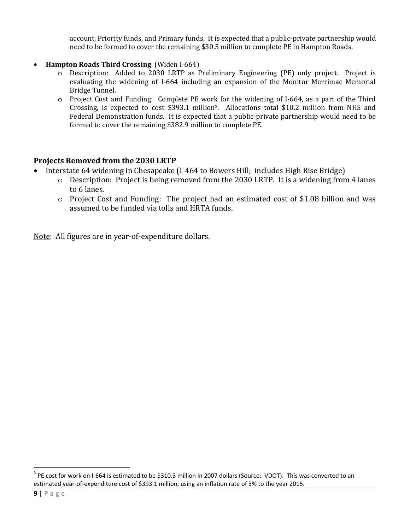account, Priority funds, and Primary funds. It is expected that a public-private partnership would need to be formed to cover the remaining \$30.5 million to complete PE in Hampton Roads.

- **Hampton Roads Third Crossing** (Widen I-664)
	- o Description: Added to 2030 LRTP as Preliminary Engineering (PE) only project. Project is evaluating the widening of I-664 including an expansion of the Monitor Merrimac Memorial Bridge Tunnel.
	- o Project Cost and Funding: Complete PE work for the widening of I-664, as a part of the Third Crossing, is expected to cost \$393.1 million3. Allocations total \$10.2 million from NHS and Federal Demonstration funds. It is expected that a public-private partnership would need to be formed to cover the remaining \$382.9 million to complete PE.

#### **Projects Removed from the 2030 LRTP**

- Interstate 64 widening in Chesapeake (I-464 to Bowers Hill; includes High Rise Bridge)
	- o Description: Project is being removed from the 2030 LRTP. It is a widening from 4 lanes to 6 lanes.
	- o Project Cost and Funding: The project had an estimated cost of \$1.08 billion and was assumed to be funded via tolls and HRTA funds.

Note: All figures are in year-of-expenditure dollars.

 $\overline{a}$ 

 $3$  PE cost for work on I-664 is estimated to be \$310.3 million in 2007 dollars (Source: VDOT). This was converted to an estimated year-of-expenditure cost of \$393.1 million, using an inflation rate of 3% to the year 2015.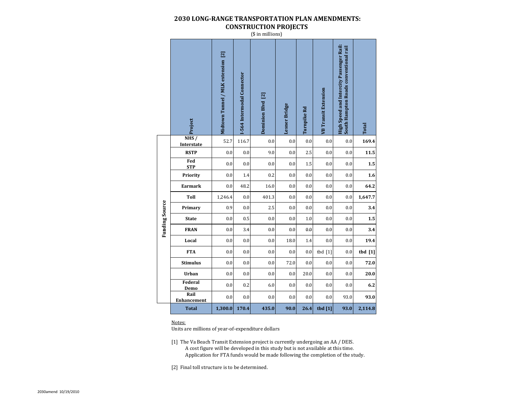#### **2030 LONG-RANGE TRANSPORTATION PLAN AMENDMENTS: CONSTRUCTION PROJECTS**

(\$ in millions)

|                       | NHS/                               | Midtown Tunnel / MLK extension [2] | -564 Intermodal Connector | Dominion Blvd [2] | <b>Lesner Bridge</b> | Turnpike Rd | <b>VB</b> Transit Extension | High Speed and Intercity Passenger Rail:<br>South Hampton Roads conventional rail | <b>Total</b> |
|-----------------------|------------------------------------|------------------------------------|---------------------------|-------------------|----------------------|-------------|-----------------------------|-----------------------------------------------------------------------------------|--------------|
|                       | Interstate                         | 52.7                               | 116.7                     | 0.0               | $0.0\,$              | 0.0         | 0.0                         | 0.0                                                                               | 169.4        |
|                       | <b>RSTP</b>                        | 0.0                                | 0.0                       | 9.0               | 0.0                  | 2.5         | 0.0                         | 0.0                                                                               | 11.5         |
|                       | Fed<br><b>STP</b>                  | 0.0                                | 0.0                       | 0.0               | 0.0                  | 1.5         | 0.0                         | 0.0                                                                               | 1.5          |
|                       | Priority                           | 0.0                                | 1.4                       | 0.2               | 0.0                  | 0.0         | 0.0                         | 0.0                                                                               | 1.6          |
|                       | <b>Earmark</b>                     | 0.0                                | 48.2                      | 16.0              | 0.0                  | 0.0         | 0.0                         | 0.0                                                                               | 64.2         |
|                       | Toll                               | 1,246.4                            | 0.0                       | 401.3             | 0.0                  | 0.0         | 0.0                         | 0.0                                                                               | 1,647.7      |
| <b>Funding Source</b> | Primary                            | 0.9                                | 0.0                       | 2.5               | 0.0                  | 0.0         | 0.0                         | 0.0                                                                               | 3.4          |
|                       | <b>State</b>                       | 0.0                                | 0.5                       | 0.0               | 0.0                  | 1.0         | 0.0                         | 0.0                                                                               | 1.5          |
|                       | <b>FRAN</b>                        | 0.0                                | 3.4                       | 0.0               | 0.0                  | 0.0         | 0.0                         | 0.0                                                                               | 3.4          |
|                       | Local                              | 0.0                                | 0.0                       | 0.0               | 18.0                 | 1.4         | 0.0                         | 0.0                                                                               | 19.4         |
|                       | <b>FTA</b>                         | 0.0                                | 0.0                       | 0.0               | 0.0                  | 0.0         | tbd $[1]$                   | 0.0                                                                               | $tbd$ [1]    |
|                       | <b>Stimulus</b>                    | 0.0                                | 0.0                       | 0.0               | 72.0                 | 0.0         | 0.0                         | 0.0                                                                               | 72.0         |
|                       | Urban                              | 0.0                                | 0.0                       | 0.0               | 0.0                  | 20.0        | 0.0                         | 0.0                                                                               | 20.0         |
|                       | Federal                            | 0.0                                | 0.2                       | 6.0               | 0.0                  | 0.0         | 0.0                         | 0.0                                                                               | 6.2          |
|                       | Demo<br>Rail<br><b>Enhancement</b> | 0.0                                | 0.0                       | 0.0               | 0.0                  | 0.0         | 0.0                         | 93.0                                                                              | 93.0         |
|                       | <b>Total</b>                       | 1,300.0                            | 170.4                     | 435.0             | 90.0                 | 26.4        | tbd [1]                     | 93.0                                                                              | 2,114.8      |

#### Notes:

Units are millions of year-of-expenditure dollars

[1] The Va Beach Transit Extension project is currently undergoing an AA / DEIS. A cost figure will be developed in this study but is not available at this time. Application for FTA funds would be made following the completion of the study.

[2] Final toll structure is to be determined.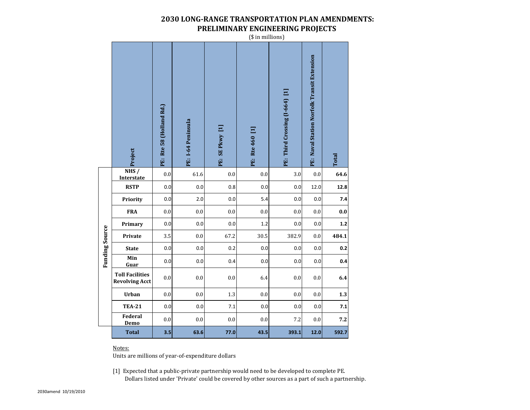#### **2030 LONG-RANGE TRANSPORTATION PLAN AMENDMENTS: PRELIMINARY ENGINEERING PROJECTS**

(\$ in millions) Naval Station Norfolk Transit Extension **PE: Naval Station Norfolk Transit Extension** Third Crossing (I-664) [1] **PE: Third Crossing (I-664) [1]** Rte 58 (Holland Rd.) **PE: Rte 58 (Holland Rd.) PE: I-64 Peninsula**  1-64 Peninsula SEPkwy [1] **PE: SE Pkwy [1]** Rte 460 [1] **PE: Rte 460 [1] Project Total** 菌 Ë Ë Ë Ë Ë **NHS /**  0.0 61.6 0.0 0.0 3.0 0.0 **64.6 InterstateRSTP** 0.0 0.0 0.8 0.0 0.0 12.0 **12.8 Priority** 0.0 2.0 0.0 5.4 0.0 0.0 **7.4 FRA** 0.0 0.0 0.0 0.0 0.0 0.0 **0.0 Primary** 0.0 0.0 0.0 1.2 0.0 0.0 **1.2 Funding Source Funding Source Private** 3.5 0.0 67.2 30.5 382.9 0.0 **484.1 State** 0.0 0.0 0.2 0.0 0.0 0.0 **0.2 Min 0.4** 0.0 0.0 0.4 0.0 0.0 0.0**Guar Toll Facilities Revolving Acct** 0.0 0.0 0.0 0.0 0.0 0.0 0.0 6.4 **Urban** 0.0 0.0 1.3 0.0 0.0 0.0 **1.3 TEA-21** 0.0 0.0 7.1 0.0 0.0 0.0 **7.1 Federal**   $\begin{bmatrix} 0.0 & 0.0 & 0.0 \ 0.0 & 0.0 & 0.0 \end{bmatrix}$  0.0 7.2 0.0 7.2 **DemoTotal3.5 63.6 77.0 43.5 393.1 12.0 592.7**

#### Notes:

Units are millions of year-of-expenditure dollars

[1] Expected that a public-private partnership would need to be developed to complete PE. Dollars listed under 'Private' could be covered by other sources as a part of such a partnership.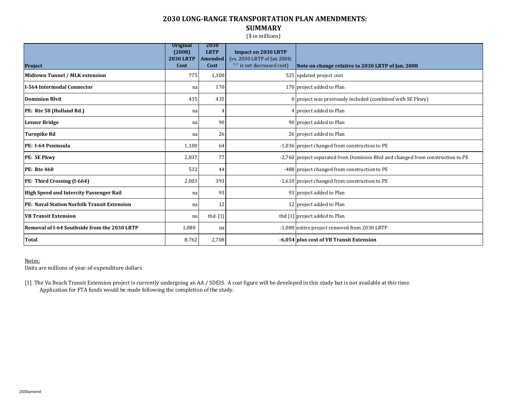#### **2030 LONG-RANGE TRANSPORTATION PLAN AMENDMENTS: SUMMARY**

(\$ in millions)

|                                                     | <b>Original</b><br>(2008)<br><b>2030 LRTP</b> | 2030<br><b>LRTP</b><br><b>Amended</b> | <b>Impact on 2030 LRTP</b>                                |                                                                                 |
|-----------------------------------------------------|-----------------------------------------------|---------------------------------------|-----------------------------------------------------------|---------------------------------------------------------------------------------|
| <b>Project</b>                                      | Cost                                          | Cost                                  | (vs. 2030 LRTP of Jan 2008;<br>"-" is net decreased cost) | Note on change relative to 2030 LRTP of Jan. 2008                               |
| Midtown Tunnel / MLK extension                      | 775                                           | 1,300                                 |                                                           | 525 updated project cost                                                        |
| II-564 Intermodal Connector                         | na                                            | 170                                   |                                                           | 170 project added to Plan                                                       |
| <b>Dominion Blvd</b>                                | 435                                           | 435                                   |                                                           | 0 project was previously included (combined with SE Pkwy)                       |
| PE: Rte 58 (Holland Rd.)                            | na                                            | 4                                     |                                                           | 4 project added to Plan                                                         |
| <b>Lesner Bridge</b>                                | na                                            | 90                                    |                                                           | 90 project added to Plan                                                        |
| <b>Turnpike Rd</b>                                  | na                                            | 26                                    |                                                           | 26 project added to Plan                                                        |
| PE: I-64 Peninsula                                  | 1,100                                         | 64                                    |                                                           | -1,036 project changed from construction to PE                                  |
| <b>PE: SE Pkwy</b>                                  | 2,837                                         | 77                                    |                                                           | -2,760 project separated from Dominion Blvd and changed from construction to PE |
| PE: Rte 460                                         | 532                                           | 44                                    |                                                           | -488 project changed from construction to PE                                    |
| <b>PE: Third Crossing (I-664)</b>                   | 2,003                                         | 393                                   |                                                           | -1,610 project changed from construction to PE                                  |
| <b>High Speed and Intercity Passenger Rail</b>      | na                                            | 93                                    |                                                           | 93 project added to Plan                                                        |
| <b>PE: Naval Station Norfolk Transit Extension</b>  | na                                            | 12                                    |                                                           | 12 project added to Plan                                                        |
| <b>VB Transit Extension</b>                         | nal                                           | $tbd$ $[1]$                           |                                                           | tbd [1] project added to Plan                                                   |
| <b>Removal of I-64 Southside from the 2030 LRTP</b> | 1,080                                         | na                                    |                                                           | -1,080 entire project removed from 2030 LRTP                                    |
| Total                                               | 8,762                                         | 2,708                                 |                                                           | -6,054 plus cost of VB Transit Extension                                        |

#### Notes:

Units are millions of year-of-expenditure dollars

[1] The Va Beach Transit Extension project is currently undergoing an AA / SDEIS. A cost figure will be developed in this study but is not available at this time. Application for FTA funds would be made following the completion of the study.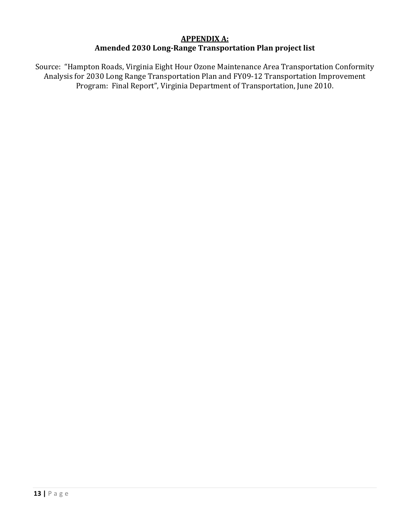# **APPENDIX A: Amended 2030 Long-Range Transportation Plan project list**

Source: "Hampton Roads, Virginia Eight Hour Ozone Maintenance Area Transportation Conformity Analysis for 2030 Long Range Transportation Plan and FY09-12 Transportation Improvement Program: Final Report", Virginia Department of Transportation, June 2010.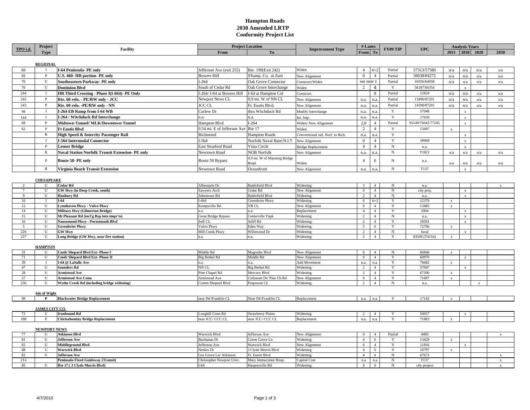#### **Hampton Roads 2030 Amended LRTP Conformity Project List**

| TPO i.d.      | Project               | <b>Facility</b>                                         | <b>Project Location</b>            |                             | # Lanes<br><b>Improvement Type</b> |                         | FY09 TIP       |             | <b>UPC</b>        | <b>Analysis Years</b> |              |                |              |
|---------------|-----------------------|---------------------------------------------------------|------------------------------------|-----------------------------|------------------------------------|-------------------------|----------------|-------------|-------------------|-----------------------|--------------|----------------|--------------|
|               | <b>Type</b>           |                                                         | From                               | To                          |                                    | From                    |                |             |                   |                       |              | 2011 2018 2020 | 2030         |
|               |                       |                                                         |                                    |                             |                                    |                         |                |             |                   |                       |              |                |              |
|               |                       |                                                         |                                    |                             |                                    |                         |                |             |                   |                       |              |                |              |
|               | <b>REGIONAL</b>       |                                                         |                                    |                             |                                    |                         |                |             |                   |                       |              |                |              |
| 66            | $\mathbf{I}$          | I-64 Peninsula- PE only                                 | Jefferson Ave (exit 255)           | Rte. 199(Exit 242)          | Widen                              | $\overline{4}$          | $6+2$          | Partial     | 57313/57580       | n/a                   | n/a          | n/a            | n/a          |
| 69            | P                     | U.S. 460- HR portion- PE only                           | <b>Bowers Hill</b>                 | S'hamp. Co. at Zuni         | New Alignment                      | $\overline{0}$          | $\overline{4}$ | Partial     | 56638/84272       | n/a                   | n/a          | n/a            | n/a          |
| 70            | U                     | Southeastern Parkway- PE only                           | $I-264$                            | Oak Grove Connector         | Construct/Widen                    | see note 1              |                | Partial     | 16556/64058       | n/a                   | n/a          | n/a            | n/a          |
| 70            | U                     | <b>Dominion Blvd</b>                                    | South of Cedar Rd                  | Oak Grove Interchange       | Widen                              | 2                       | $\overline{4}$ | Y           | 56187/84354       |                       | $\mathbf{x}$ |                |              |
|               |                       |                                                         |                                    |                             |                                    |                         |                |             |                   |                       |              |                |              |
| 244           | $\bf{I}$              | HR Third Crossing - Phase I(I-664)- PE Only             | -264/I-64 at Bowers Hill           | I-64 at Hampton Col         | Construct                          |                         | 8              | Partial     | 12834             | n/a                   | n/a          | n/a            | n/a          |
| 242           | P                     | Rte. 60 relo. - PE/RW only - JCC                        | Newport News CL                    | 0.9 mi. W of NN CL          | New Alignment                      | n.a.                    | n.a.           | Partial     | 13496/87201       | n/a                   | n/a          | n/a            | n/a          |
| 243           | $\mathbf{P}$          | Rte. 60 relo. - PE/RW only - NN                         | <b>JCC CL</b>                      | Ft. Eustis Blvd.            | New Alignment                      | n.a.                    | n.a.           | Partial     | 14598/87201       | n/a                   | n/a          | n/a            | n/a          |
| 98            | $\mathbf{I}$          | I-264 EB Ramp from I-64 WB                              | Curlew Dr                          | thru Witchduck Rd           | Modify Interchange                 | n.a.                    | n.a.           | Y           | 57048             |                       | $\mathbf{x}$ |                |              |
| 144           | Ι.                    | I-264 / Witchduck Rd Interchange                        | n.a.                               | n.a.                        | Int. Imp.                          | n.a.                    | n.a.           | $\mathbf Y$ | 17630             |                       | $\mathbf{x}$ |                |              |
| 68            | P                     | Midtown Tunnel/ MLK/Downtown Tunnel                     | Hampton Blvd                       | $I-264$                     |                                    | 2,0                     | $\overline{4}$ | Partial     | 95149/76642/77245 |                       |              |                |              |
|               |                       |                                                         |                                    |                             | Widen/ New Alignment               |                         |                |             |                   |                       | $\mathbf{x}$ |                |              |
| 62            | $\mathbf{P}$          | <b>Ft Eustis Blvd</b>                                   | 0.54 mi. E of Jefferson Ave Rte 17 |                             | Widen                              | 2                       | $\overline{4}$ | Y           | 13497             | $\mathbf x$           |              |                |              |
|               | ${\mathbb R}$         | High Speed & Intercity Passenger Rail                   | Richmond                           | <b>Hampton Roads</b>        | Conventional rail, Norf. to Rich.  | n.a.                    | n.a.           | $\mathbf Y$ |                   |                       | $\mathbf{x}$ |                |              |
|               | $\mathbf{I}$          | <b>I-564 Intermodal Connector</b>                       | $-564$                             | Norfolk Naval Base/N.I.T    | New Alignment                      | $\Omega$                | $\overline{4}$ | $\mathbf Y$ | 18968             |                       | $\mathbf{x}$ |                |              |
|               | $\mathbf{P}$          | <b>Lesner Bridge</b>                                    | <b>East Stratford Road</b>         | Vista Circle                | <b>Bridge Replacement</b>          | $\overline{4}$          | $\overline{4}$ | ${\rm N}$   | n.a.              |                       |              |                |              |
|               | R                     | <b>Naval Station Norfolk Transit Extension- PE only</b> | Newtown Road                       | <b>NOB Norfolk</b>          | New Alignment                      | n.a.                    | n.a.           | $_{\rm N}$  | T1821             | n/a                   | n/a          | n/a            | n/a          |
|               |                       |                                                         |                                    |                             |                                    |                         |                |             |                   |                       |              |                |              |
|               | $\, {\bf p}$          | Route 58- PE only                                       | Route 58 Bypass                    | 0.9 mi. W of Manning Bridge |                                    | $\overline{4}$          | 6              | $_{\rm N}$  | n.a.              |                       |              |                |              |
|               |                       |                                                         |                                    | Road                        | Widen                              |                         |                |             |                   | n/a                   | n/a          | n/a            | n/a          |
|               | $\mathbb{R}$          | Virginia Beach Transit Extension                        | Newtown Road                       | Oceanfront                  | New Alignment                      | n.a.                    | n.a.           | N           | T137              |                       | $\mathbf{x}$ |                |              |
|               |                       |                                                         |                                    |                             |                                    |                         |                |             |                   |                       |              |                |              |
|               | <b>CHESAPEAKE</b>     |                                                         |                                    |                             |                                    |                         |                |             |                   |                       |              |                |              |
| $\mathcal{D}$ | U                     | <b>Cedar Rd</b>                                         | Albemarle Dr                       | <b>Battlefield Blvd</b>     | Widening                           | $\overline{\mathbf{3}}$ | $\overline{4}$ | N           | n.a.              |                       |              |                |              |
|               | U                     | GW Hwy (in Deep Creek, south)                           | Sawyers Arch                       | Cedar Rd                    | New Alignment                      | $\mathbf{0}$            | $\overline{4}$ | ${\rm N}$   | city proj.        |                       | $\mathbf{x}$ |                |              |
| 9             | U                     | <b>Hanbury Rd</b>                                       | Johnstown Rd                       | <b>Battlefield Blvd</b>     | Widening                           | $\overline{2}$          | $\overline{4}$ | $_{\rm N}$  | n.a.              |                       | $\mathbf{x}$ |                |              |
| 10            | $\mathbf{I}$          | $I-64$                                                  | $-464$                             | Greenbrier Pkwy             | Widening                           | 6                       | $6 + 2$        | Y           | 12379             | $\mathbf x$           |              |                |              |
| 12            | $\mathbf U$           | <b>Lynnhaven Pkwy - Volvo Pkwy</b>                      | Kempsville Rd                      | VB CL                       | New Alignment                      | $\bf{0}$                | $\overline{4}$ | Y           | 13485             | $\mathbf x$           |              |                |              |
| 14            | U                     | <b>Military Hwy (Gilmerton Bridge)</b>                  | ìл.                                | n.a.                        | Replacement                        | $\overline{4}$          | $\overline{4}$ | Y           | 1904              |                       |              |                |              |
| 15            | $\mathbf U$           | Mt Pleasant Rd (incl'g Byp intx impr'ts)                | Great Bridge Bypass                | Centerville Tnpk            | Widening                           | $\overline{2}$          | $\overline{4}$ | $_{\rm N}$  | n.a.              |                       | $\bf{x}$     |                |              |
| 16            | U                     | Nansemond Pkwy - Portsmouth Blvd                        | Suff CL                            | Joliff Rd                   | Widening                           | $\overline{c}$          | $\overline{4}$ | Y           | 18591             |                       | $\mathbf{x}$ |                |              |
| 5             | U                     | <b>Greenbrier Pkwy</b>                                  | Volvo Pkwy                         | Eden Way                    | Widening                           | 5                       | 6              | Y           | 72796             | $\mathbf x$           |              |                |              |
| 226           | U                     | <b>GW Hwy</b>                                           | Mill Creek Pkwy                    | Willowood Dr                | Widening                           | 2                       | $\overline{4}$ | $_{\rm N}$  | local             |                       | $\mathbf{x}$ |                |              |
| 227           | U                     | Long Bridge (GW Hwy, near fire station)                 | n.a.                               | n.a.                        | Widening                           | 2                       | $\overline{4}$ | Y           | 83509 (T4154)     | $\mathbf{x}$          |              |                |              |
|               |                       |                                                         |                                    |                             |                                    |                         |                |             |                   |                       |              |                |              |
|               | <b>HAMPTON</b>        |                                                         |                                    |                             |                                    |                         |                |             |                   |                       |              |                |              |
| 31            | U                     | Cmdr Shepard Blvd Ext- Phase I                          | Middle Rd                          | Magruder Blvd               | New Alignment                      | $\mathbf{0}$            | $\overline{4}$ | N           | 66846             |                       |              |                |              |
|               | $\mathbf{U}$          | Cmdr Shepard Blvd Ext- Phase II                         |                                    | Middle Rd                   |                                    | $\overline{0}$          | $\overline{4}$ | Y           | 60970             | $\mathbf x$           |              |                |              |
| 71            |                       |                                                         | Big Bethel Rd                      |                             | New Alignment                      |                         |                |             |                   |                       | $\mathbf{x}$ |                |              |
| 39            |                       | I-64 @ LaSalle Ave                                      | n.a.                               | n.a                         | Add Movement                       | n.a.                    | n.a.           | Y           | 76682             | $\mathbf x$           |              |                |              |
| 47            | U                     | <b>Saunders Rd</b>                                      | NN CL                              | Big Bethel Rd               | Widening                           | 2                       | $\overline{4}$ | Y           | 57047             |                       | $\mathbf{x}$ |                |              |
| 28            | $\mathbf U$           | <b>Armistead Ave</b>                                    | Pine Chapel Rd                     | Mercury Blvd                | Widening                           | $\overline{2}$          | $\overline{4}$ | $\mathbf Y$ | 67200             | $\mathbf x$           |              |                |              |
| 27            | U                     | <b>Armistead Ave Conn</b>                               | Armistead Ave                      | Coliseum Dr/Pine Ch Rd      | New Alignment                      | $\overline{0}$          | $\overline{4}$ | Y           | 71697             | $\mathbf x$           |              |                |              |
| 236           | U                     | Wythe Creek Rd (including bridge widening)              | Comm Shepard Blvd                  | Poquoson CL                 | Widening                           | $\overline{2}$          | $\overline{4}$ | $_{\rm N}$  | n.a.              |                       |              | $\mathbf{x}$   |              |
|               |                       |                                                         |                                    |                             |                                    |                         |                |             |                   |                       |              |                |              |
|               | <b>Isle of Wight</b>  |                                                         |                                    |                             |                                    |                         |                |             |                   |                       |              |                |              |
| 99            | $\mathbf{P}$          | <b>Blackwater Bridge Replacement</b>                    | near IW/Franklin CL                | Near IW/Franklin CL         | Replacement                        | n.a.                    | n.a.           | Y           | 17142             | $\mathbf x$           |              |                |              |
|               |                       |                                                         |                                    |                             |                                    |                         |                |             |                   |                       |              |                |              |
|               | <b>JAMES CITY CO.</b> |                                                         |                                    |                             |                                    |                         |                |             |                   |                       |              |                |              |
| 72            |                       | <b>Ironbound Rd</b>                                     | Longhill Conn Rd                   | <b>Strawberry Plains</b>    | Widening                           | $\overline{2}$          | $\overline{4}$ |             | 50057             |                       |              |                |              |
| 188           |                       | <b>Chickahominy Bridge Replacement</b>                  | near JCC/CCC CL                    | near JCC/CCC CL             | Replacement                        | n.a.                    | n.a.           |             | 71883             | $\mathbf{x}$          |              |                |              |
|               |                       |                                                         |                                    |                             |                                    |                         |                |             |                   |                       |              |                |              |
|               | <b>NEWPORT NEWS</b>   |                                                         |                                    |                             |                                    |                         |                |             |                   |                       |              |                |              |
| 77            | U                     | <b>Atkinson Blvd</b>                                    | Warwick Blvd                       | Jefferson Ave               | New Alignment                      | $\overline{0}$          | $\overline{4}$ | Partial     | 4483              |                       |              |                | $\mathbf x$  |
| 81            | U                     | <b>Jefferson Ave</b>                                    | <b>Buchanan</b> Dr                 | Green Grove Ln              | Widening                           | $\overline{4}$          | 6              | Y           | 13429             | $\mathbf x$           |              |                |              |
| 83            | U                     | <b>Middleground Blvd</b>                                | efferson Ave                       | <b>Warwick Blvd</b>         | New Alignment                      | $\bf{0}$                | $\overline{4}$ | $\mathbf Y$ | 11816             |                       | $\mathbf{x}$ |                |              |
| 88            | U                     | <b>Warwick Blvd</b>                                     | Nettles Dr                         | J Clyde Morris Blvd         | Widening                           | $\overline{4}$          | 6              | Y           | 10797             | $\mathbf x$           |              |                |              |
| 82            | U                     | <b>Jefferson Ave</b>                                    | Grn Grove Ln/ Atkinson             | Ft. Eustis Blvd             | Widening                           | $\overline{4}$          | 6              | ${\rm N}$   | 67673             |                       |              |                | $\mathbf{x}$ |
| 214           |                       | Peninsula Fixed Guideway (Transit)                      | Christopher Newport Univ.          | Mary Immaculate Hosp.       | Capital Cost                       | $\mathbf{n}.\mathbf{a}$ | n.a            | $_{\rm N}$  | T137              |                       |              |                | $\mathbf x$  |
| 85            | U                     | Rte 17 (J Clyde Morris Blvd)                            | $I-64$                             | Harpersville Rd             | Widening                           | $\overline{4}$          | 6              | $_{\rm N}$  | city project      |                       |              |                |              |
|               |                       |                                                         |                                    |                             |                                    |                         |                |             |                   |                       |              |                |              |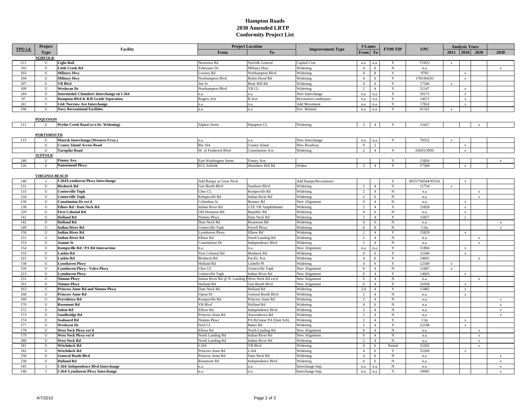#### **Hampton Roads 2030 Amended LRTP Conformity Project List**

|          | Project               |                                                  | <b>Project Location</b>                           |                            |                         |                | # Lanes        | FY09 TIP     | <b>UPC</b>        | <b>Analysis Years</b> |              |              |              |  |
|----------|-----------------------|--------------------------------------------------|---------------------------------------------------|----------------------------|-------------------------|----------------|----------------|--------------|-------------------|-----------------------|--------------|--------------|--------------|--|
| TPO i.d. | <b>Type</b>           | Facility                                         | From                                              | To                         | <b>Improvement Type</b> | From To        |                |              |                   | 2011 2018 2020        |              |              | 2030         |  |
|          | <b>NORFOLK</b>        |                                                  |                                                   |                            |                         |                |                |              |                   |                       |              |              |              |  |
| 213      | U                     | <b>Light Rail</b>                                | Newtown Rd                                        | Norfolk General            | <b>Capital Cost</b>     | n.a.           | n.a.           | Y            | T1822             | $\mathbf x$           |              |              |              |  |
| 102      | U                     | Little Creek Rd                                  | Tidewater Dr                                      | Military Hwy               | Widening                | $\overline{4}$ | 6              | N            | n.a.              |                       |              |              | $\mathbf{x}$ |  |
| 103      | U                     | <b>Military Hwy</b>                              | Lowery Rd                                         | Northampton Blvd           | Widening                | $\overline{4}$ | 8              | Y            | 9783              |                       | $\mathbf x$  |              |              |  |
| 104      | U                     | <b>Military Hwy</b>                              | Northampton Blvd                                  | Robin Hood Rd              | Widening                | $\overline{4}$ | 6              | Y            | 1765/84243        |                       | $\mathbf x$  |              |              |  |
| 107      | U                     | VB Blvd                                          | ett St                                            | Briar Hill Rd              | Widening                | $\overline{4}$ | 6              | Y            | 17546             | $\mathbf{x}$          |              |              |              |  |
| 109      | U                     | Wesleyan Dr                                      | Northampton Blvd                                  | VB CL                      | Widening                | 2              | $\overline{4}$ | Y            | 52147             |                       | $\mathbf{x}$ |              |              |  |
| 244      | U                     | <b>Intermodal/ Chambers Interchange on I-564</b> |                                                   | n.a.                       | New Interchange         | n.a.           | n.a.           | Y            | 59175             |                       | $\mathbf x$  |              |              |  |
| 97       | U                     | Hampton Blvd & R/R Grade Separation              | Rogers Ave                                        | <b>B</b> Ave               | Reconstruct underpass   | n.a.           | n.a.           | Y            | 14672             |                       | $\mathbf x$  |              |              |  |
| 241      |                       | I-64/ Norview Ave Interchange                    | n.a.                                              | n.a.                       | Add Movement            | n.a.           | n.a.           | Y            | 17824             |                       | $\mathbf x$  |              |              |  |
| 106      | U                     | <b>Navy Recreational Facilities</b>              | n.a.                                              | n.a.                       | Env. Related            | n.a.           | n.a.           | Y            | 61322             | $\mathbf x$           |              |              |              |  |
|          |                       |                                                  |                                                   |                            |                         |                |                |              |                   |                       |              |              |              |  |
|          | <b>POQUOSON</b>       |                                                  |                                                   |                            |                         |                |                |              |                   |                       |              |              |              |  |
| 111      | H                     | Wythe Creek Road (w/o br. Widening)              | <b>Alphus Street</b>                              | Hampton CL                 | Widening                | 2              | $\mathbf{A}$   | $\mathbf{v}$ | 13427             |                       |              | $\mathbf{x}$ |              |  |
|          |                       |                                                  |                                                   |                            |                         |                |                |              |                   |                       |              |              |              |  |
|          | <b>PORTSMOUTH</b>     |                                                  |                                                   |                            |                         |                |                |              |                   |                       |              |              |              |  |
| 115      | U                     | Maersk Interchange (Western Frwy.)               | nа                                                | nа                         | New Interchange         | n.a.           | n.a            | Y            | 70552             | $\mathbf{x}$          |              |              |              |  |
|          | U                     | <b>Craney Island Access Road</b>                 | <b>Rte 164</b>                                    | Craney Island              | New Roadway             | $\overline{0}$ | $\overline{2}$ |              |                   |                       | $\mathbf x$  |              |              |  |
|          | U                     | <b>Turnpike Road</b>                             | W. of Frederick Blvd                              | <b>Constitution Ave</b>    | Widening                | 2              | $\overline{4}$ | Y            | 65655/3950        |                       | $\mathbf x$  |              |              |  |
|          | <b>SUFFOLE</b>        |                                                  |                                                   |                            |                         |                |                |              |                   |                       |              |              |              |  |
| 240      | U                     | Finney Ave.                                      | East Washington Street                            | Finney Ave.                |                         |                |                | Y            | 15826             |                       |              |              | $\mathbf{x}$ |  |
| 126      | U                     | Nansemond Pkwy.                                  | <b>ECL Suffolk</b>                                | Shoulders Hill Rd          | Widen                   | $\overline{2}$ |                | Y            | 17568             |                       | $\mathbf{x}$ |              |              |  |
|          |                       |                                                  |                                                   |                            |                         |                |                |              |                   |                       |              |              |              |  |
|          | <b>VIRGINIA BEACH</b> |                                                  |                                                   |                            |                         |                |                |              |                   |                       |              |              |              |  |
| 146      |                       | I-264/Lynnhaven Pkwy Interchange                 | Add Ramps at Great Neck                           |                            | Add Ramps/Reconstruct   |                |                |              | 80157/94544/95554 |                       | $\mathbf x$  |              |              |  |
| 131      | U                     | Birdneck Rd                                      | Gen Booth Blvd                                    | Southern Blvd              | Widening                | 2              | $\overline{4}$ | Y            | 11754             | $\mathbf x$           |              |              |              |  |
| 133      | U                     | Centerville Tnpk                                 | Ches CL                                           | Kempsville Rd              | Widening                | $\overline{2}$ | $\overline{4}$ | $\rm N$      | n.a.              |                       |              | $\mathbf{x}$ |              |  |
| 134      | U                     | <b>Centerville Tnpk</b>                          | Kempsville Rd                                     | <b>Indian River Rd</b>     | Widening                | $\overline{2}$ | 6              | ${\bf N}$    | n.a.              |                       |              | $\mathbf{x}$ |              |  |
| 136      | U                     | <b>Constitution Dr ext'd</b>                     | Columbus St                                       | <b>Bonney Rd</b>           | New Alignment           | $\overline{0}$ | $\overline{4}$ | $_{\rm N}$   | n.a.              |                       | $\mathbf{x}$ |              |              |  |
| 138      | U                     | Elbow Rd / Dam Neck Rd                           | Indian River Rd                                   | <b>GTE VB Amphitheater</b> | Widening                | $\overline{2}$ | $\overline{a}$ | Y            | 15828             |                       | $\mathbf x$  |              |              |  |
| 229      | U                     | <b>First Colonial Rd</b>                         | Old Donation Rd                                   | Republic Rd                | Widening                | $\overline{4}$ | 6              | ${\rm N}$    | n.a.              |                       | $\mathbf x$  |              |              |  |
| 141      | U                     | <b>Holland Rd</b>                                | Nimmo Pkwy                                        | Dam Neck Rd                | Widening                | 2              | $\overline{4}$ | $\mathbf Y$  | 15827             |                       | $\mathbf x$  |              |              |  |
| 142      | U                     | <b>Holland Rd</b>                                | Dam Neck Rd                                       | Rosemont Rd                | Widening                | $\overline{4}$ | 6              | ${\bf N}$    | n.a.              |                       |              |              | $\mathbf{x}$ |  |
| 149      | U                     | <b>Indian River Rd</b>                           | Centerville Tnpk                                  | Ferrell Pkwy               | Widening                | 6              | 8              | N            | City              |                       |              |              | $\mathbf x$  |  |
| 150      | U                     | <b>Indian River Rd</b>                           | Lynnhaven Pkwy                                    | Elbow Rd                   | Widening                | 2              | $\overline{4}$ | Y            | 15829             |                       | $\mathbf x$  |              |              |  |
| 151      | U                     | <b>Indian River Rd</b>                           | Elbow Rd                                          | North Landing Rd           | Widening                | 2              | $\overline{4}$ | $_{\rm N}$   | n.a.              |                       |              | $\mathbf{x}$ |              |  |
| 153      | U                     | <b>Jeanne St</b>                                 | Constitution Dr                                   | Independence Blvd          | Widening                | 2              | $\overline{4}$ | N            | n.a.              |                       |              | $\mathbf{x}$ |              |  |
| 154      | U                     | Kempsville Rd / PA Rd Intersection               | n.a.                                              | n.a.                       | New Alignment           | n.a.           | n.a.           | Y            | 51866             |                       | $\mathbf x$  |              |              |  |
| 155      | U                     | Laskin Rd                                        | First Colonial Rd                                 | <b>Birdneck Rd</b>         | Widening                | $\overline{4}$ | 6              | Y            | 12546             |                       | $\mathbf{x}$ |              |              |  |
| 222      | U                     | Laskin Rd                                        | Birdneck Rd                                       | Pacific Ave                | Widening                | $\overline{4}$ | 6              | Y            | 14601             |                       |              | $\mathbf{x}$ |              |  |
| 158      | U                     | <b>Lynnhaven Pkwy</b>                            | <b>Holland Rd</b>                                 | Lishelle Pl                | Widening                | $\overline{4}$ | 6              | Y            | 12549             | $\mathbf x$           |              |              |              |  |
| 159      | U                     | <b>Lynnhaven Pkwy - Volvo Pkwy</b>               | Ches CL                                           | Centerville Tnpk           | New Alignment           | $\mathbf{0}$   | $\overline{4}$ | ${\bf N}$    | 13487             | $\mathbf x$           |              |              |              |  |
| 223      | U                     | Lynnhaven Pkwy                                   | Centerville Tnpk                                  | ndian River Rd             | New Alignment           | $\bf{0}$       | $\overline{4}$ | Y            | 14603             |                       | $\mathbf{x}$ |              |              |  |
| 231      | U                     | Nimmo Pkwy                                       | Indian River Rd @ N. Landing I West Neck Rd ext'd |                            | New Alignment           | $\overline{0}$ | $\overline{4}$ | ${\bf N}$    | n.a.              |                       |              | $\mathbf{x}$ |              |  |
| 161      | U                     | Nimmo Pkwy                                       | Holland Rd                                        | Gen Booth Blvd             | New Alignment           | $\mathbf{0}$   | $\overline{4}$ | $\mathbf Y$  | 52058             |                       | $\mathbf x$  |              |              |  |
| 163      | U                     | <b>Princess Anne Rd and Nimmo Pkwy</b>           | Dam Neck Rd                                       | Holland Rd                 | Widening                | 2,0            | $\overline{4}$ | Y            | 13482             |                       | $\mathbf{x}$ |              |              |  |
| 168      | U                     | <b>Princess Anne Rd</b>                          | Upton Dr                                          | General Booth Blvd         | Widening                | $\overline{2}$ | $\overline{4}$ | ${\bf N}$    | n.a.              |                       | $\mathbf x$  |              |              |  |
| 169      | U                     | Providence Rd                                    | Kempsville Rd                                     | Princess Anne Rd           | Widening                | 2              | $\overline{4}$ | N            | n.a.              |                       |              |              | $\mathbf x$  |  |
| 170      | U                     | <b>Rosemont Rd</b>                               | VB Blvd                                           | <b>Holland Rd</b>          | Widening                | $\overline{4}$ | 6              | $\mathbf N$  | n.a.              |                       |              |              | $\mathbf{x}$ |  |
| 172      | U                     | Salem Rd                                         | Elbow Rd                                          | Independence Blvd          | Widening                | 2              | $\overline{4}$ | ${\bf N}$    | n.a.              |                       |              |              | $\mathbf{x}$ |  |
| 173      | U                     | Sandbridge Rd                                    | Princess Anne Rd                                  | Atwoodtown Rd              | Widening                | 2              | $\overline{4}$ | $_{\rm N}$   | n.a.              |                       |              |              | $\mathbf x$  |  |
| 174      | U                     | Seaboard Rd                                      | Nimmo Pkwy                                        | PA Rd (near PA Elem Sch)   | Widening                | $\overline{2}$ | $\overline{4}$ | Y            | City              |                       | $\mathbf{x}$ |              |              |  |
| 177      | U                     | Weslevan Dr                                      | Norf CL                                           | <b>Baker Rd</b>            | Widening                | $\overline{2}$ | $\overline{4}$ | Y            | 52148             |                       | $\mathbf x$  |              |              |  |
| 178      | U                     | West Neck Pkwy ext'd                             | Elbow Rd                                          | North Landing Rd           | New Alignment           | $\mathbf{0}$   | $\overline{4}$ | N            | n.a.              |                       |              |              |              |  |
| 179      | U                     | West Neck Pkwy ext'd                             | North Landing Rd                                  | <b>Indian River Rd</b>     | New Alignment           | $\overline{0}$ | $\overline{4}$ | $_{\rm N}$   | n.a.              |                       |              | $\mathbf{x}$ |              |  |
| 180      | U                     | <b>West Neck Rd</b>                              | North Landing Rd                                  | Indian River Rd            | Widening                | 2              | $\overline{4}$ | N            | n.a.              |                       |              | $\mathbf{x}$ |              |  |
| 181      | U                     | <b>Witchduck Rd</b>                              | $-264$                                            | <b>VB Blvd</b>             | Widening                | $\overline{4}$ | 6              | Partial      | 55202             |                       |              | $\mathbf x$  |              |  |
| 182      | U                     | <b>Witchduck Rd</b>                              | Princess Anne Rd                                  | $I-264$                    | Widening                | $\overline{4}$ | 6              | Y            | 55200             |                       | $\mathbf x$  |              |              |  |
| 230      | U                     | <b>General Booth Blvd</b>                        | Princess Anne Rd                                  | Dam Neck Rd                | Widening                | $\overline{4}$ | 6              | $_{\rm N}$   | n.a.              |                       |              |              | $\mathbf{x}$ |  |
| 238      | U                     | <b>Holland Rd</b>                                | Rosemont Rd                                       | Independence Blvd          | Widening                | $\overline{4}$ | 6              | ${\bf N}$    | n.a.              |                       |              |              | $\mathbf x$  |  |
| 145      | $\bf{I}$              | I-264/ Independence Blvd Interchange             | n.a.                                              | n.a.                       | Interchange Imp.        | n.a.           | n.a.           | $\mathbf N$  | n.a.              |                       |              |              | $\mathbf{x}$ |  |
| 146      |                       | I-264/ Lynnhaven Pkwy Interchange                | n.a.                                              | n.a.                       | Interchange Imp.        | n.a.           | n.a.           | Y            | 19005             |                       |              |              |              |  |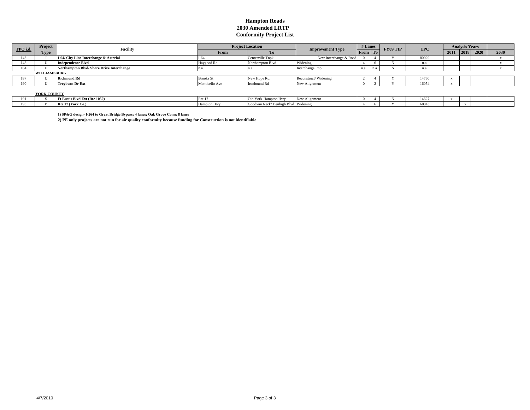#### **Hampton Roads 2030 Amended LRTP Conformity Project List**

| TPO i.d. | Project             | <b>Facility</b>                          | <b>Project Location</b><br><b>Improvement Type</b> |                  | # Lanes                |         |  |  |       |      |  |           |      |  |  |  |  |  | <b>FY09 TIP</b> | <b>UPC</b> | <b>Analysis Years</b> |  |  |  |
|----------|---------------------|------------------------------------------|----------------------------------------------------|------------------|------------------------|---------|--|--|-------|------|--|-----------|------|--|--|--|--|--|-----------------|------------|-----------------------|--|--|--|
|          | <b>Type</b>         |                                          | From                                               | Tо               |                        | From To |  |  |       | 2011 |  | 2018 2020 | 2030 |  |  |  |  |  |                 |            |                       |  |  |  |
| 143      |                     | I-64/ City Line Interchange & Arterial   |                                                    | Centerville Tnpk | New Interchange & Road |         |  |  | 80029 |      |  |           |      |  |  |  |  |  |                 |            |                       |  |  |  |
| 148      |                     | <b>Independence Blvd</b>                 | Haygood Rd                                         | Northampton Blvd | Widening               |         |  |  | n.a   |      |  |           |      |  |  |  |  |  |                 |            |                       |  |  |  |
| 164      |                     | Northampton Blvd/Shore Drive Interchange |                                                    |                  | Interchange Imp.       | n.a.    |  |  | n.a.  |      |  |           |      |  |  |  |  |  |                 |            |                       |  |  |  |
|          | <b>WILLIAMSBURG</b> |                                          |                                                    |                  |                        |         |  |  |       |      |  |           |      |  |  |  |  |  |                 |            |                       |  |  |  |
| 187      |                     | <b>Richmond Rd</b>                       | <b>Brooks</b> St                                   | New Hope Rd.     | Reconstruct/Widening   |         |  |  | 14750 |      |  |           |      |  |  |  |  |  |                 |            |                       |  |  |  |
| 190      |                     | <b>Treyburn Dr Ext</b>                   | Monticello Ave                                     | Ironbound Rd     | New Alignment          |         |  |  | 16054 |      |  |           |      |  |  |  |  |  |                 |            |                       |  |  |  |
|          |                     |                                          |                                                    |                  |                        |         |  |  |       |      |  |           |      |  |  |  |  |  |                 |            |                       |  |  |  |

**YORK COUNTY**

|                      | - - - - - - - - - - - |                                                   |             |                                           |     |  |       |  |  |
|----------------------|-----------------------|---------------------------------------------------|-------------|-------------------------------------------|-----|--|-------|--|--|
| $\sim$ $\sim$ $\sim$ |                       | . Eustis Blvd Ext (Rte 1050)                      | $D+$<br>$-$ | Old Y<br>ai Hwy<br>r ork-Hampi            | New |  | 14627 |  |  |
| 102<br>.             |                       | $\overline{\phantom{0}}$<br>(York Co.<br>– ⊩Rte ⊥ |             | penbigh Blvd Widening<br>GOOGW<br>ли імес |     |  | 6084  |  |  |
|                      |                       |                                                   |             |                                           |     |  |       |  |  |

**1) SP&G design- I-264 to Great Bridge Bypass: 4 lanes; Oak Grove Conn: 8 lanes**

**2) PE only projects are not run for air quality conformity because funding for Construction is not identifiable**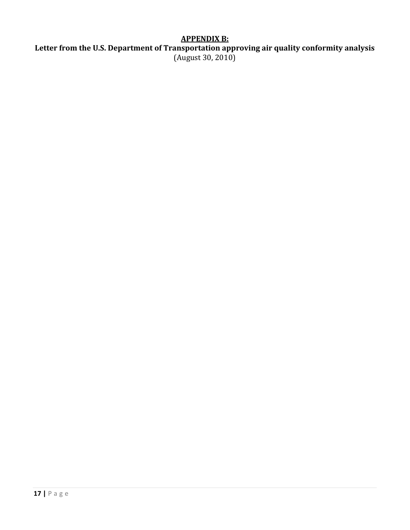# **APPENDIX B:**

**Letter from the U.S. Department of Transportation approving air quality conformity analysis**  (August 30, 2010)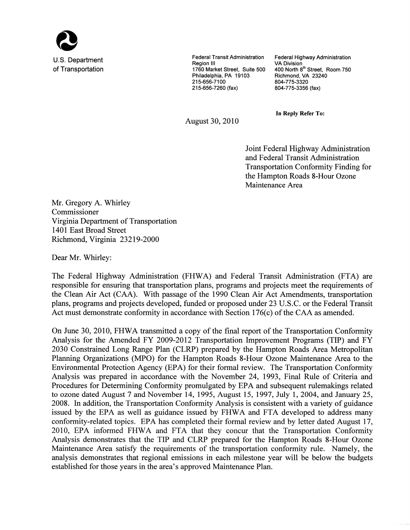

U.S. Department of Transportation **Federal Transit Administration** Region III 1760 Market Street. Suite 500 Philadelphia, PA 19103 215-656-7100 215-656-7260 (fax)

Federal Highway Administration **VA Division** 400 North 8th Street. Room 750 Richmond, VA 23240 804-775-3320 804-775-3356 (fax)

**In Reply Refer To:** 

August 30, 2010

Joint Federal Highway Administration and Federal Transit Administration **Transportation Conformity Finding for** the Hampton Roads 8-Hour Ozone Maintenance Area

Mr. Gregory A. Whirley Commissioner Virginia Department of Transportation 1401 East Broad Street Richmond, Virginia 23219-2000

Dear Mr. Whirley:

The Federal Highway Administration (FHWA) and Federal Transit Administration (FTA) are responsible for ensuring that transportation plans, programs and projects meet the requirements of the Clean Air Act (CAA). With passage of the 1990 Clean Air Act Amendments, transportation plans, programs and projects developed, funded or proposed under 23 U.S.C. or the Federal Transit Act must demonstrate conformity in accordance with Section  $176(c)$  of the CAA as amended.

On June 30, 2010, FHWA transmitted a copy of the final report of the Transportation Conformity Analysis for the Amended FY 2009-2012 Transportation Improvement Programs (TIP) and FY 2030 Constrained Long Range Plan (CLRP) prepared by the Hampton Roads Area Metropolitan Planning Organizations (MPO) for the Hampton Roads 8-Hour Ozone Maintenance Area to the Environmental Protection Agency (EPA) for their formal review. The Transportation Conformity Analysis was prepared in accordance with the November 24, 1993, Final Rule of Criteria and Procedures for Determining Conformity promulgated by EPA and subsequent rulemakings related to ozone dated August 7 and November 14, 1995, August 15, 1997, July 1, 2004, and January 25, 2008. In addition, the Transportation Conformity Analysis is consistent with a variety of guidance issued by the EPA as well as guidance issued by FHWA and FTA developed to address many conformity-related topics. EPA has completed their formal review and by letter dated August 17, 2010, EPA informed FHWA and FTA that they concur that the Transportation Conformity Analysis demonstrates that the TIP and CLRP prepared for the Hampton Roads 8-Hour Ozone Maintenance Area satisfy the requirements of the transportation conformity rule. Namely, the analysis demonstrates that regional emissions in each milestone year will be below the budgets established for those years in the area's approved Maintenance Plan.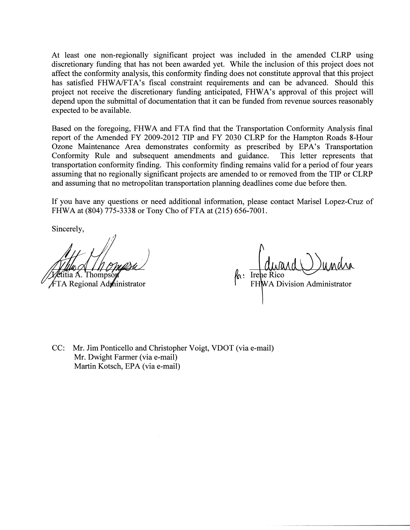At least one non-regionally significant project was included in the amended CLRP using discretionary funding that has not been awarded yet. While the inclusion of this project does not affect the conformity analysis, this conformity finding does not constitute approval that this project has satisfied FHWA/FTA's fiscal constraint requirements and can be advanced. Should this project not receive the discretionary funding anticipated, FHWA's approval of this project will depend upon the submittal of documentation that it can be funded from revenue sources reasonably expected to be available.

Based on the foregoing, FHWA and FTA find that the Transportation Conformity Analysis final report of the Amended FY 2009-2012 TIP and FY 2030 CLRP for the Hampton Roads 8-Hour Ozone Maintenance Area demonstrates conformity as prescribed by EPA's Transportation Conformity Rule and subsequent amendments and guidance. This letter represents that transportation conformity finding. This conformity finding remains valid for a period of four years assuming that no regionally significant projects are amended to or removed from the TIP or CLRP and assuming that no metropolitan transportation planning deadlines come due before then.

If you have any questions or need additional information, please contact Marisel Lopez-Cruz of FHWA at (804) 775-3338 or Tony Cho of FTA at (215) 656-7001.

Sincerely,

Thomps

FTA Regional Administrator

**MAU WAMA**<br>ico<br>Division Administrator  $\kappa$  : Irepe Rico

CC: Mr. Jim Ponticello and Christopher Voigt, VDOT (via e-mail) Mr. Dwight Farmer (via e-mail) Martin Kotsch, EPA (via e-mail)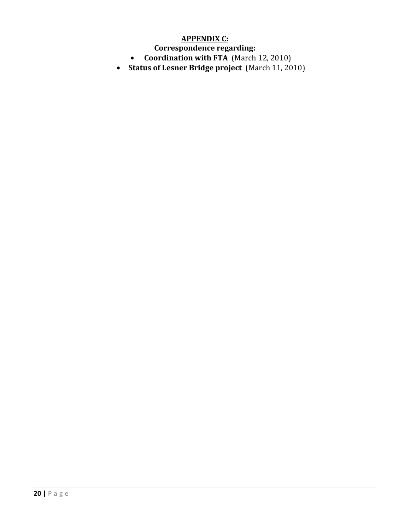# **APPENDIX C:**

**Correspondence regarding:** 

- • **Coordination with FTA** (March 12, 2010)
- **Status of Lesner Bridge project** (March 11, 2010)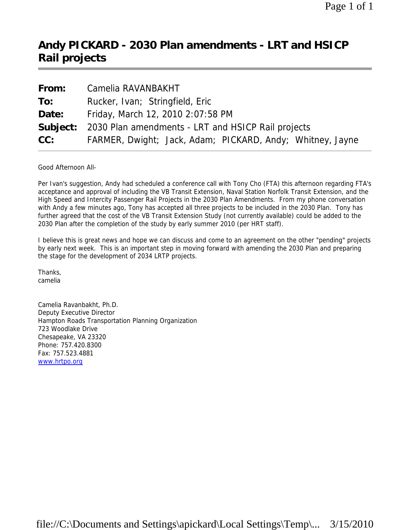# **Andy PICKARD - 2030 Plan amendments - LRT and HSICP Rail projects**

| From: | Camelia RAVANBAKHT                                                 |
|-------|--------------------------------------------------------------------|
| To:   | Rucker, Ivan; Stringfield, Eric                                    |
| Date: | Friday, March 12, 2010 2:07:58 PM                                  |
|       | <b>Subject:</b> 2030 Plan amendments - LRT and HSICP Rail projects |
| CC:   | FARMER, Dwight; Jack, Adam; PICKARD, Andy; Whitney, Jayne          |

Good Afternoon All-

Per Ivan's suggestion, Andy had scheduled a conference call with Tony Cho (FTA) this afternoon regarding FTA's acceptance and approval of including the VB Transit Extension, Naval Station Norfolk Transit Extension, and the High Speed and Intercity Passenger Rail Projects in the 2030 Plan Amendments. From my phone conversation with Andy a few minutes ago, Tony has accepted all three projects to be included in the 2030 Plan. Tony has further agreed that the cost of the VB Transit Extension Study (not currently available) could be added to the 2030 Plan after the completion of the study by early summer 2010 (per HRT staff).

I believe this is great news and hope we can discuss and come to an agreement on the other "pending" projects by early next week. This is an important step in moving forward with amending the 2030 Plan and preparing the stage for the development of 2034 LRTP projects.

Thanks, camelia

Camelia Ravanbakht, Ph.D. Deputy Executive Director Hampton Roads Transportation Planning Organization 723 Woodlake Drive Chesapeake, VA 23320 Phone: 757.420.8300 Fax: 757.523.4881 www.hrtpo.org